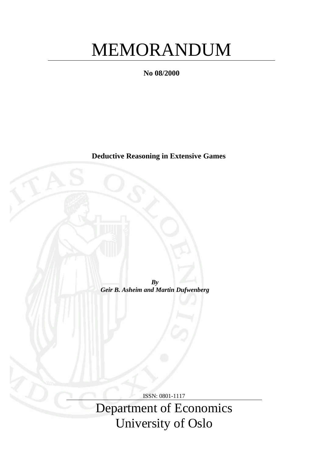# MEMORANDUM

**No 08/2000**

**Deductive Reasoning in Extensive Games**

*By Geir B. Asheim and Martin Dufwenberg*

ISSN: 0801-1117

Department of Economics University of Oslo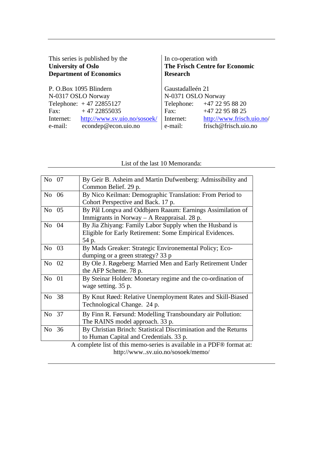| This series is published by the<br><b>University of Oslo</b><br><b>Department of Economics</b> | In co-operation with<br><b>The Frisch Centre for Economic</b><br><b>Research</b> |                            |  |
|------------------------------------------------------------------------------------------------|----------------------------------------------------------------------------------|----------------------------|--|
| P. O.Box 1095 Blindern                                                                         | Gaustadalleén 21                                                                 |                            |  |
| N-0317 OSLO Norway                                                                             | N-0371 OSLO Norway                                                               |                            |  |
| Telephone: $+47 22855127$                                                                      |                                                                                  | Telephone: +47 22 95 88 20 |  |
| $+4722855035$<br>Fax:                                                                          | Fax:                                                                             | $+47$ 22 95 88 25          |  |
| http://www.sv.uio.no/sosoek/<br>Internet:                                                      | Internet:                                                                        | http://www.frisch.uio.no/  |  |
| econdep@econ.uio.no<br>e-mail:                                                                 | e-mail:                                                                          | frisch@frisch.uio.no       |  |

# List of the last 10 Memoranda:

| By Geir B. Asheim and Martin Dufwenberg: Admissibility and            |  |  |  |  |
|-----------------------------------------------------------------------|--|--|--|--|
| Common Belief. 29 p.                                                  |  |  |  |  |
| By Nico Keilman: Demographic Translation: From Period to              |  |  |  |  |
| Cohort Perspective and Back. 17 p.                                    |  |  |  |  |
| By Pål Longva and Oddbjørn Raaum: Earnings Assimilation of            |  |  |  |  |
| Immigrants in Norway $-$ A Reappraisal. 28 p.                         |  |  |  |  |
| By Jia Zhiyang: Family Labor Supply when the Husband is               |  |  |  |  |
| Eligible for Early Retirement: Some Empirical Evidences.              |  |  |  |  |
| 54 p.                                                                 |  |  |  |  |
| By Mads Greaker: Strategic Environemental Policy; Eco-                |  |  |  |  |
| dumping or a green strategy? 33 p                                     |  |  |  |  |
| By Ole J. Røgeberg: Married Men and Early Retirement Under            |  |  |  |  |
| the AFP Scheme. 78 p.                                                 |  |  |  |  |
| By Steinar Holden: Monetary regime and the co-ordination of           |  |  |  |  |
| wage setting. 35 p.                                                   |  |  |  |  |
| By Knut Røed: Relative Unemployment Rates and Skill-Biased            |  |  |  |  |
| Technological Change. 24 p.                                           |  |  |  |  |
|                                                                       |  |  |  |  |
| By Finn R. Førsund: Modelling Transboundary air Pollution:            |  |  |  |  |
| The RAINS model approach. 33 p.                                       |  |  |  |  |
| By Christian Brinch: Statistical Discrimination and the Returns       |  |  |  |  |
| to Human Capital and Credentials. 33 p.                               |  |  |  |  |
| A complete list of this memo-series is available in a PDF® format at: |  |  |  |  |
| http://wwwsv.uio.no/sosoek/memo/                                      |  |  |  |  |
|                                                                       |  |  |  |  |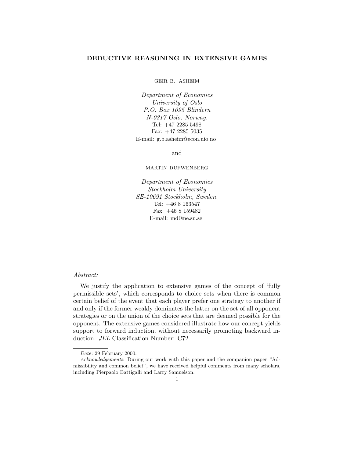# **DEDUCTIVE REASONING IN EXTENSIVE GAMES**

geir b. asheim

*Department of Economics University of Oslo P.O. Box 1095 Blindern N-0317Oslo, Norway.* Tel: +47 2285 5498 Fax: +47 2285 5035 E-mail: g.b.asheim@econ.uio.no

and

martin dufwenberg

*Department of Economics Stockholm University SE-10691 Stockholm, Sweden.* Tel:  $+468163547$ Fax:  $+468159482$ E-mail: md@ne.su.se

## *Abstract:*

We justify the application to extensive games of the concept of 'fully permissible sets', which corresponds to choice sets when there is common certain belief of the event that each player prefer one strategy to another if and only if the former weakly dominates the latter on the set of all opponent strategies or on the union of the choice sets that are deemed possible for the opponent. The extensive games considered illustrate how our concept yields support to forward induction, without necessarily promoting backward induction. *JEL* Classification Number: C72.

Date: 29 February 2000.

Acknowledgements: During our work with this paper and the companion paper "Admissibility and common belief", we have received helpful comments from many scholars, including Pierpaolo Battigalli and Larry Samuelson.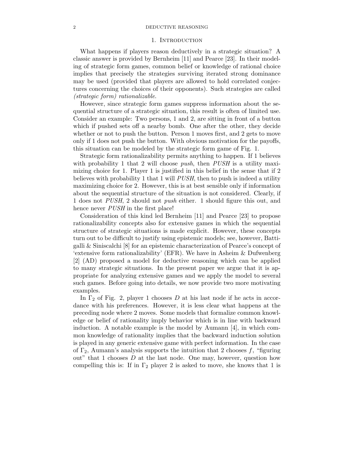### 1. Introduction

What happens if players reason deductively in a strategic situation? A classic answer is provided by Bernheim [11] and Pearce [23]. In their modeling of strategic form games, common belief or knowledge of rational choice implies that precisely the strategies surviving iterated strong dominance may be used (provided that players are allowed to hold correlated conjectures concerning the choices of their opponents). Such strategies are called *(strategic form) rationalizable*.

However, since strategic form games suppress information about the sequential structure of a strategic situation, this result is often of limited use. Consider an example: Two persons, 1 and 2, are sitting in front of a button which if pushed sets off a nearby bomb. One after the other, they decide whether or not to push the button. Person 1 moves first, and 2 gets to move only if 1 does not push the button. With obvious motivation for the payoffs, this situation can be modeled by the strategic form game of Fig. 1.

Strategic form rationalizability permits anything to happen. If 1 believes with probability 1 that 2 will choose *push*, then *PUSH* is a utility maximizing choice for 1. Player 1 is justified in this belief in the sense that if 2 believes with probability 1 that 1 will *PUSH*, then to push is indeed a utility maximizing choice for 2. However, this is at best sensible only if information about the sequential structure of the situation is not considered. Clearly, if 1 does not *PUSH*, 2 should not *push* either. 1 should figure this out, and hence never *PUSH* in the first place!

Consideration of this kind led Bernheim [11] and Pearce [23] to propose rationalizability concepts also for extensive games in which the sequential structure of strategic situations is made explicit. However, these concepts turn out to be difficult to justify using epistemic models; see, however, Battigalli & Siniscalchi [8] for an epistemic characterization of Pearce's concept of 'extensive form rationalizability' (EFR). We have in Asheim & Dufwenberg [2] (AD) proposed a model for deductive reasoning which can be applied to many strategic situations. In the present paper we argue that it is appropriate for analyzing extensive games and we apply the model to several such games. Before going into details, we now provide two more motivating examples.

In  $\Gamma_2$  of Fig. 2, player 1 chooses D at his last node if he acts in accordance with his preferences. However, it is less clear what happens at the preceding node where 2 moves. Some models that formalize common knowledge or belief of rationality imply behavior which is in line with backward induction. A notable example is the model by Aumann [4], in which common knowledge of rationality implies that the backward induction solution is played in any generic extensive game with perfect information. In the case of  $\Gamma_2$ , Aumann's analysis supports the intuition that 2 chooses f, "figuring" out" that 1 chooses  $D$  at the last node. One may, however, question how compelling this is: If in  $\Gamma_2$  player 2 is asked to move, she knows that 1 is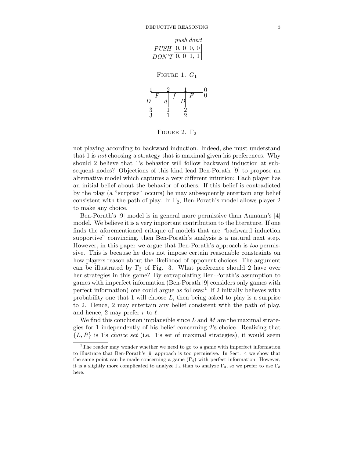|                    | $push\ don't$ |  |  |  |
|--------------------|---------------|--|--|--|
| PUSH   0, 0   0, 0 |               |  |  |  |
| $DON'T$ 0, 0   1.  |               |  |  |  |

FIGURE 1.  $G_1$ 



FIGURE 2.  $\Gamma_2$ 

not playing according to backward induction. Indeed, she must understand that 1 is *not* choosing a strategy that is maximal given his preferences. Why should 2 believe that 1's behavior will follow backward induction at subsequent nodes? Objections of this kind lead Ben-Porath [9] to propose an alternative model which captures a very different intuition: Each player has an initial belief about the behavior of others. If this belief is contradicted by the play (a "surprise" occurs) he may subsequently entertain any belief consistent with the path of play. In  $\Gamma_2$ , Ben-Porath's model allows player 2 to make any choice.

Ben-Porath's [9] model is in general more permissive than Aumann's [4] model. We believe it is a very important contribution to the literature. If one finds the aforementioned critique of models that are "backward induction supportive" convincing, then Ben-Porath's analysis is a natural next step. However, in this paper we argue that Ben-Porath's approach is *too* permissive. This is because he does not impose certain reasonable constraints on how players reason about the likelihood of opponent choices. The argument can be illustrated by  $\Gamma_3$  of Fig. 3. What preference should 2 have over her strategies in this game? By extrapolating Ben-Porath's assumption to games with imperfect information (Ben-Porath [9] considers only games with perfect information) one could argue as follows:<sup>1</sup> If 2 initially believes with probability one that 1 will choose  $L$ , then being asked to play is a surprise to 2. Hence, 2 may entertain any belief consistent with the path of play, and hence, 2 may prefer r to  $\ell$ .

We find this conclusion implausible since  $L$  and  $M$  are the maximal strategies for 1 independently of his belief concerning 2's choice. Realizing that  ${L, R}$  is 1's *choice set* (i.e. 1's set of maximal strategies), it would seem

 $1$ The reader may wonder whether we need to go to a game with imperfect information to illustrate that Ben-Porath's [9] approach is too permissive. In Sect. 4 we show that the same point can be made concerning a game  $(\Gamma_4)$  with perfect information. However, it is a slightly more complicated to analyze  $\Gamma_4$  than to analyze  $\Gamma_3$ , so we prefer to use  $\Gamma_3$ here.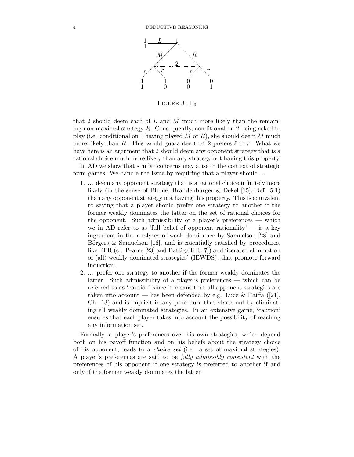

FIGURE 3.  $\Gamma_3$ 

that 2 should deem each of L and M much more likely than the remaining non-maximal strategy  $R$ . Consequently, conditional on 2 being asked to play (i.e. conditional on 1 having played M or  $R$ ), she should deem M much more likely than R. This would guarantee that 2 prefers  $\ell$  to r. What we have here is an argument that 2 should deem any opponent strategy that is a rational choice much more likely than any strategy not having this property.

In AD we show that similar concerns may arise in the context of strategic form games. We handle the issue by requiring that a player should ...

- 1. ... deem any opponent strategy that is a rational choice infinitely more likely (in the sense of Blume, Brandenburger & Dekel [15], Def. 5.1) than any opponent strategy not having this property. This is equivalent to saying that a player should prefer one strategy to another if the former weakly dominates the latter on the set of rational choices for the opponent. Such admissibility of a player's preferences — which we in AD refer to as 'full belief of opponent rationality'  $-$  is a key ingredient in the analyses of weak dominance by Samuelson [28] and Börgers  $\&$  Samuelson [16], and is essentially satisfied by procedures, like EFR (cf. Pearce [23] and Battigalli [6, 7]) and 'iterated elimination of (all) weakly dominated strategies' (IEWDS), that promote forward induction.
- 2. ... prefer one strategy to another if the former weakly dominates the latter. Such admissibility of a player's preferences — which can be referred to as 'caution' since it means that all opponent strategies are taken into account — has been defended by e.g. Luce & Raiffa ([21], Ch. 13) and is implicit in any procedure that starts out by eliminating all weakly dominated strategies. In an extensive game, 'caution' ensures that each player takes into account the possibility of reaching any information set.

Formally, a player's preferences over his own strategies, which depend both on his payoff function and on his beliefs about the strategy choice of his opponent, leads to a *choice set* (i.e. a set of maximal strategies). A player's preferences are said to be *fully admissibly consistent* with the preferences of his opponent if one strategy is preferred to another if and only if the former weakly dominates the latter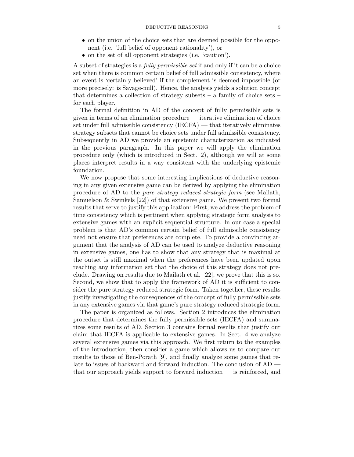- on the union of the choice sets that are deemed possible for the opponent (i.e. 'full belief of opponent rationality'), or
- on the set of all opponent strategies (i.e. 'caution').

A subset of strategies is a *fully permissible set* if and only if it can be a choice set when there is common certain belief of full admissible consistency, where an event is 'certainly believed' if the complement is deemed impossible (or more precisely: is Savage-null). Hence, the analysis yields a solution concept that determines a collection of strategy subsets  $-$  a family of choice sets  $$ for each player.

The formal definition in AD of the concept of fully permissible sets is given in terms of an elimination procedure — iterative elimination of choice set under full admissible consistency (IECFA) — that iteratively eliminates strategy subsets that cannot be choice sets under full admissible consistency. Subsequently in AD we provide an epistemic characterization as indicated in the previous paragraph. In this paper we will apply the elimination procedure only (which is introduced in Sect. 2), although we will at some places interpret results in a way consistent with the underlying epistemic foundation.

We now propose that some interesting implications of deductive reasoning in any given extensive game can be derived by applying the elimination procedure of AD to the *pure strategy reduced strategic form* (see Mailath, Samuelson  $&$  Swinkels  $[22]$  of that extensive game. We present two formal results that serve to justify this application: First, we address the problem of time consistency which is pertinent when applying strategic form analysis to extensive games with an explicit sequential structure. In our case a special problem is that AD's common certain belief of full admissible consistency need not ensure that preferences are complete. To provide a convincing argument that the analysis of AD can be used to analyze deductive reasoning in extensive games, one has to show that any strategy that is maximal at the outset is still maximal when the preferences have been updated upon reaching any information set that the choice of this strategy does not preclude. Drawing on results due to Mailath et al. [22], we prove that this is so. Second, we show that to apply the framework of AD it is sufficient to consider the pure strategy reduced strategic form. Taken together, these results justify investigating the consequences of the concept of fully permissible sets in any extensive games via that game's pure strategy reduced strategic form.

The paper is organized as follows. Section 2 introduces the elimination procedure that determines the fully permissible sets (IECFA) and summarizes some results of AD. Section 3 contains formal results that justify our claim that IECFA is applicable to extensive games. In Sect. 4 we analyze several extensive games via this approach. We first return to the examples of the introduction, then consider a game which allows us to compare our results to those of Ben-Porath [9], and finally analyze some games that relate to issues of backward and forward induction. The conclusion of AD that our approach yields support to forward induction — is reinforced, and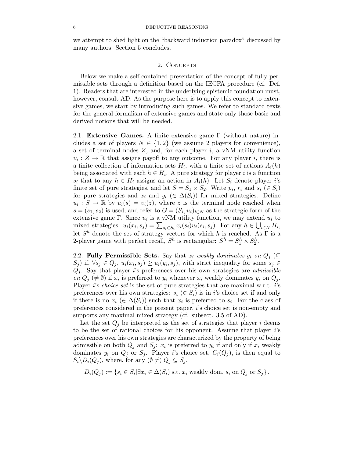we attempt to shed light on the "backward induction paradox" discussed by many authors. Section 5 concludes.

#### 2. CONCEPTS

Below we make a self-contained presentation of the concept of fully permissible sets through a definition based on the IECFA procedure (cf. Def. 1). Readers that are interested in the underlying epistemic foundation must, however, consult AD. As the purpose here is to apply this concept to extensive games, we start by introducing such games. We refer to standard texts for the general formalism of extensive games and state only those basic and derived notions that will be needed.

2.1. **Extensive Games.** A finite extensive game Γ (without nature) includes a set of players  $N \in \{1,2\}$  (we assume 2 players for convenience), a set of terminal nodes  $Z$ , and, for each player  $i$ , a vNM utility function  $v_i : Z \to \mathbb{R}$  that assigns payoff to any outcome. For any player i, there is a finite collection of information sets  $H_i$ , with a finite set of actions  $A_i(h)$ being associated with each  $h \in H_i$ . A pure strategy for player i is a function  $s_i$  that to any  $h \in H_i$  assigns an action in  $A_i(h)$ . Let  $S_i$  denote player i's finite set of pure strategies, and let  $S = S_1 \times S_2$ . Write  $p_i, r_i$  and  $s_i \in S_i$ for pure strategies and  $x_i$  and  $y_i$  ( $\in \Delta(S_i)$ ) for mixed strategies. Define  $u_i : S \to \mathbb{R}$  by  $u_i(s) = v_i(z)$ , where z is the terminal node reached when  $s = (s_1, s_2)$  is used, and refer to  $G = (S_i, u_i)_{i \in N}$  as the strategic form of the extensive game Γ. Since  $u_i$  is a vNM utility function, we may extend  $u_i$  to mixed strategies:  $u_i(x_i, s_j) = \sum_{s_i \in S_i} x_i(s_i) u_i(s_i, s_j)$ . For any  $h \in \bigcup_{i \in N} H_i$ ,<br>let  $S^h$  denote the set of strategy vectors for which h is reached. As  $\Gamma$  is a let  $S<sup>h</sup>$  denote the set of strategy vectors for which h is reached. As  $\Gamma$  is a 2-player game with perfect recall,  $S^h$  is rectangular:  $S^h = S_1^h \times S_2^h$ .

2.2. **Fully Permissible Sets.** Say that  $x_i$  weakly dominates  $y_i$  on  $Q_j$  ( $\subseteq$  $(S_j)$  if,  $\forall s_j \in Q_j$ ,  $u_i(x_i, s_j) \geq u_i(y_i, s_j)$ , with strict inequality for some  $s_j \in Q_j$  $Q_i$ . Say that player i's preferences over his own strategies are *admissible on*  $Q_j$  ( $\neq$   $\emptyset$ ) if  $x_i$  is preferred to  $y_i$  whenever  $x_i$  weakly dominates  $y_i$  on  $Q_j$ .<br>Player i's choice est is the set of pure strategies that are mayimal we to is Player i's *choice set* is the set of pure strategies that are maximal w.r.t. i's preferences over his own strategies:  $s_i \in S_i$  is in i's choice set if and only if there is no  $x_i \in \Delta(S_i)$  such that  $x_i$  is preferred to  $s_i$ . For the class of preferences considered in the present paper, i's choice set is non-empty and supports any maximal mixed strategy (cf. subsect. 3.5 of AD).

Let the set  $Q_j$  be interpreted as the set of strategies that player i deems to be the set of rational choices for his opponent. Assume that player i's preferences over his own strategies are characterized by the property of being admissible on both  $Q_j$  and  $S_j$ :  $x_i$  is preferred to  $y_i$  if and only if  $x_i$  weakly dominates  $y_i$  on  $Q_j$  or  $S_j$ . Player i's choice set,  $C_i(Q_j)$ , is then equal to  $S_i\backslash D_i(Q_j)$ , where, for any  $(\emptyset \neq)$   $Q_j \subseteq S_j$ ,

$$
D_i(Q_j) := \{ s_i \in S_i | \exists x_i \in \Delta(S_i) \text{ s.t. } x_i \text{ weakly dom. } s_i \text{ on } Q_j \text{ or } S_j \}.
$$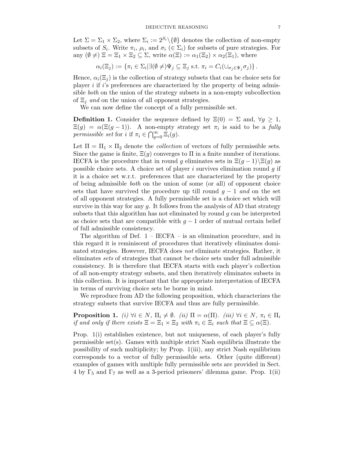Let  $\Sigma = \Sigma_1 \times \Sigma_2$ , where  $\Sigma_i := 2^{S_i} \setminus \{\emptyset\}$  denotes the collection of non-empty subsets of  $S_i$ . Write  $\pi_i$ ,  $\rho_i$ , and  $\sigma_i$  ( $\in \Sigma_i$ ) for subsets of pure strategies. For any  $(\emptyset \neq) \Xi = \Xi_1 \times \Xi_2 \subseteq \Sigma$ , write  $\alpha(\Xi) := \alpha_1(\Xi_2) \times \alpha_2(\Xi_1)$ , where

$$
\alpha_i(\Xi_j) := \{ \pi_i \in \Sigma_i | \exists (\emptyset \neq) \Psi_j \subseteq \Xi_j \text{ s.t. } \pi_i = C_i(\cup_{\sigma_j \in \Psi_j} \sigma_j) \}.
$$

Hence,  $\alpha_i(\Xi_i)$  is the collection of strategy subsets that can be choice sets for player  $i$  if  $i$ 's preferences are characterized by the property of being admissible *both* on the union of the strategy subsets in a non-empty subcollection of  $\Xi_i$  *and* on the union of all opponent strategies.

We can now define the concept of a fully permissible set.

**Definition 1.** Consider the sequence defined by  $\Xi(0) = \Sigma$  and,  $\forall g \geq 1$ ,  $\Xi(g) = \alpha(\Xi(g-1))$ . A non-empty strategy set  $\pi_i$  is said to be a *fully permissible set* for *i* if  $\pi_i \in \bigcap_{g=0}^{\infty} \Xi_i(g)$ .

Let  $\Pi = \Pi_1 \times \Pi_2$  denote the *collection* of vectors of fully permissible sets. Since the game is finite,  $\Xi(g)$  converges to  $\Pi$  in a finite number of iterations. IECFA is the procedure that in round g eliminates sets in  $\Xi(q-1)\setminus \Xi(q)$  as possible choice sets. A choice set of player i survives elimination round  $q$  if it is a choice set w.r.t. preferences that are characterized by the property of being admissible *both* on the union of some (or all) of opponent choice sets that have survived the procedure up till round  $q - 1$  *and* on the set of all opponent strategies. A fully permissible set is a choice set which will survive in this way for any  $g$ . It follows from the analysis of AD that strategy subsets that this algorithm has not eliminated by round  $g$  can be interpreted as choice sets that are compatible with  $g - 1$  order of mutual certain belief of full admissible consistency.

The algorithm of Def.  $1 - \text{IECFA} - \text{is an elimination procedure, and in}$ this regard it is reminiscent of procedures that iteratively eliminates dominated strategies. However, IECFA does *not* eliminate strategies. Rather, it eliminates *sets* of strategies that cannot be choice sets under full admissible consistency. It is therefore that IECFA starts with each player's collection of all non-empty strategy subsets, and then iteratively eliminates subsets in this collection. It is important that the appropriate interpretation of IECFA in terms of surviving choice sets be borne in mind.

We reproduce from AD the following proposition, which characterizes the strategy subsets that survive IECFA and thus are fully permissible.

**Proposition 1.** *(i)*  $\forall i \in N$ ,  $\Pi_i \neq \emptyset$ . *(ii)*  $\Pi = \alpha(\Pi)$ . *(iii)*  $\forall i \in N$ ,  $\pi_i \in \Pi_i$ <br>if and only if there exists  $\Xi = \Xi \times \Xi$ , with  $\pi \in \Xi$  such that  $\Xi \subseteq \alpha(\Xi)$ *if and only if there exists*  $\Xi = \Xi_1 \times \Xi_2$  *with*  $\pi_i \in \Xi_i$  *such that*  $\Xi \subseteq \alpha(\Xi)$ *.* 

Prop. 1(i) establishes existence, but not uniqueness, of each player's fully permissible set(s). Games with multiple strict Nash equilibria illustrate the possibility of such multiplicity; by Prop. 1(iii), any strict Nash equilibrium corresponds to a vector of fully permissible sets. Other (quite different) examples of games with multiple fully permissible sets are provided in Sect. 4 by  $\Gamma_5$  and  $\Gamma_7$  as well as a 3-period prisoners' dilemma game. Prop. 1(ii)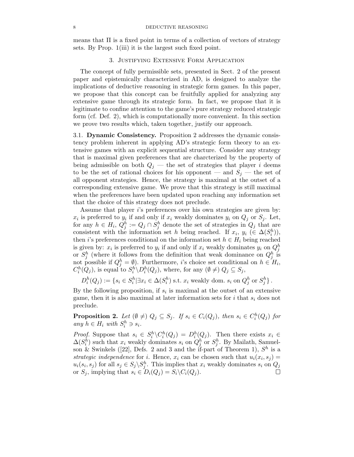means that  $\Pi$  is a fixed point in terms of a collection of vectors of strategy sets. By Prop. 1(iii) it is the largest such fixed point.

# 3. Justifying Extensive Form Application

The concept of fully permissible sets, presented in Sect. 2 of the present paper and epistemically characterized in AD, is designed to analyze the implications of deductive reasoning in strategic form games. In this paper, we propose that this concept can be fruitfully applied for analyzing any extensive game through its strategic form. In fact, we propose that it is legitimate to confine attention to the game's pure strategy reduced strategic form (cf. Def. 2), which is computationally more convenient. In this section we prove two results which, taken together, justify our approach.

3.1. **Dynamic Consistency.** Proposition 2 addresses the dynamic consistency problem inherent in applying AD's strategic form theory to an extensive games with an explicit sequential structure. Consider any strategy that is maximal given preferences that are charcterized by the property of being admissible on both  $Q_i$  — the set of strategies that player i deems to be the set of rational choices for his opponent — and  $S_j$  — the set of all opponent strategies. Hence, the strategy is maximal at the outset of a corresponding extensive game. We prove that this strategy is still maximal when the preferences have been updated upon reaching any information set that the choice of this strategy does not preclude.

Assume that player i's preferences over his own strategies are given by:  $x_i$  is preferred to  $y_i$  if and only if  $x_i$  weakly dominates  $y_i$  on  $Q_j$  or  $S_j$ . Let, for any  $h \in H_i$ ,  $Q_j^h := Q_j \cap S_j^h$  denote the set of strategies in  $Q_j$  that are<br>consistent with the information set *h* being reached. If  $x, y \in (A(S^h))$ consistent with the information set h being reached. If  $x_i, y_i \in \Delta(S_i^h)$ ,<br>then *i*'s preferences conditional on the information set  $h \in H$  being reached then i's preferences conditional on the information set  $h \in H_i$  being reached is given by:  $x_i$  is preferred to  $y_i$  if and only if  $x_i$  weakly dominates  $y_i$  on  $Q_i^h$ or  $S_j^h$  (where it follows from the definition that weak dominance on  $Q_j^h$  is<br>not possible if  $Q_j^h = \emptyset$ ). Furthermore, *i*'s choice set conditional on  $h \in H_i$ ,<br> $C_i^h(Q_j)$ , is equal to  $S_i^h \backslash D_i^h(Q_j)$ , where, for any

 $D_i^h(Q_j) := \{ s_i \in S_i^h | \exists x_i \in \Delta(S_i^h) \text{ s.t. } x_i \text{ weakly dom. } s_i \text{ on } Q_j^h \text{ or } S_j^h \}.$ 

By the following proposition, if  $s_i$  is maximal at the outset of an extensive game, then it is also maximal at later information sets for  $i$  that  $s_i$  does not preclude.

**Proposition 2.** Let  $(\emptyset \neq) Q_j \subseteq S_j$ . If  $s_i \in C_i(Q_j)$ , then  $s_i \in C_i^h(Q_j)$  for any  $h \in H$ , with  $S^h \supseteq s$ .  $any \; h \in H_i \; with \; S_i^h \ni s_i.$ 

*Proof.* Suppose that  $s_i \in S_i^h \setminus C_i^h(Q_j) = D_i^h(Q_j)$ . Then there exists  $x_i \in \Delta(S_i^h)$  such that  $x_i$  weakly dominates  $s_i$  on  $Q_j^h$  or  $S_j^h$ . By Mailath, Samuelson & Swinkels ([22], Defs. 2 and 3 and the if-part of Theore *strategic independence* for *i*. Hence,  $x_i$  can be chosen such that  $u_i(x_i, s_j) =$  $u_i(s_i, s_j)$  for all  $s_j \in S_j \backslash S_j^h$ . This implies that  $x_i$  weakly dominates  $s_i$  on  $Q_j$ <br>or  $S_j$  implying that  $s_i \in D(G) - S_j \backslash C(G)$ or  $S_j$ , implying that  $s_i \in D_i(Q_j) = S_i \backslash C_i(Q_j)$ .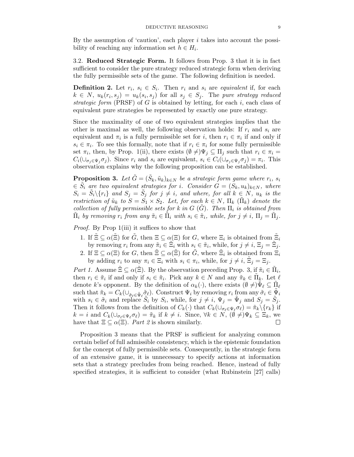By the assumption of 'caution', each player  $i$  takes into account the possibility of reaching any information set  $h \in H_i$ .

3.2. **Reduced Strategic Form.** It follows from Prop. 3 that it is in fact sufficient to consider the pure strategy reduced strategic form when deriving the fully permissible sets of the game. The following definition is needed.

**Definition 2.** Let  $r_i$ ,  $s_i \in S_i$ . Then  $r_i$  and  $s_i$  are *equivalent* if, for each  $k \in N$ ,  $u_k(r_i, s_j) = u_k(s_i, s_j)$  for all  $s_j \in S_j$ . The *pure strategy reduced strategic form* (PRSF) of  $G$  is obtained by letting, for each  $i$ , each class of equivalent pure strategies be represented by exactly one pure strategy.

Since the maximality of one of two equivalent strategies implies that the other is maximal as well, the following observation holds: If  $r_i$  and  $s_i$  are equivalent and  $\pi_i$  is a fully permissible set for i, then  $r_i \in \pi_i$  if and only if  $s_i \in \pi_i$ . To see this formally, note that if  $r_i \in \pi_i$  for some fully permissible set  $\pi_i$ , then, by Prop. 1(ii), there exists  $(\emptyset \neq) \Psi_j \subseteq \Pi_j$  such that  $r_i \in \pi_i =$ <br> $C(1, \ldots, \pi)$ . Since  $r_i$  and a are conjugated  $\sigma \subseteq C(1, \ldots, \pi) = \pi$ . This  $C_i(\cup_{\sigma_j\in\Psi_j}\sigma_j)$ . Since  $r_i$  and  $s_i$  are equivalent,  $s_i\in C_i(\cup_{\sigma_j\in\Psi_j}\sigma_j)=\pi_i$ . This observation explains why the following proposition can be established.

**Proposition 3.** *Let*  $G = (S_k, \tilde{u}_k)_{k \in N}$  *be a strategic form game where*  $r_i$ *, s<sub>i</sub>*  $\in S_i$  are two equivalent strategies for i. Consider  $G = (S_k, u_k)_{k \in N}$ , where  $S_i = \tilde{S}_i \setminus \{r_i\}$  and  $S_j = \tilde{S}_j$  for  $j \neq i$ , and where, for all  $k \in N$ ,  $u_k$  is the protection of  $\tilde{v}_k$ , to  $S = S_k \times S_k$ . Let for each  $k \in N$ ,  $\Pi_k$ ,  $(\tilde{\Pi}_k)$  denote the *restriction of*  $\tilde{u}_k$  *to*  $S = S_1 \times S_2$ *. Let, for each*  $k \in N$ *,*  $\Pi_k$  ( $\tilde{\Pi}_k$ ) *denote the collection of fully permissible sets for k in*  $G(G)$ *. Then*  $\Pi_i$  *is obtained from*  $\tilde{\Pi}_i$  by removing  $r_i$  from any  $\tilde{\pi}_i \in \tilde{\Pi}_i$  with  $s_i \in \tilde{\pi}_i$ , while, for  $j \neq i$ ,  $\Pi_j = \tilde{\Pi}_j$ .

*Proof.* By Prop 1(iii) it suffices to show that

- 1. If  $\tilde{\Xi} \subseteq \alpha(\tilde{\Xi})$  for  $\tilde{G}$ , then  $\Xi \subseteq \alpha(\Xi)$  for  $G$ , where  $\Xi_i$  is obtained from  $\tilde{\Xi}_i$ by removing  $r_i$  from any  $\tilde{\pi}_i \in \tilde{\Xi}_i$  with  $s_i \in \tilde{\pi}_i$ , while, for  $j \neq i$ ,  $\Xi_j = \tilde{\Xi}_j$ .
- 2. If  $\Xi \subseteq \alpha(\Xi)$  for G, then  $\Xi \subseteq \alpha(\Xi)$  for  $\tilde{G}$ , where  $\Xi_i$  is obtained from  $\Xi_i$ by adding  $r_i$  to any  $\pi_i \in \Xi_i$  with  $s_i \in \pi_i$ , while, for  $j \neq i$ ,  $\tilde{\Xi}_j = \Xi_j$ .

*Part 1.* Assume  $\Xi \subseteq \alpha(\Xi)$ . By the observation preceding Prop. 3, if  $\tilde{\pi}_i \in \Pi_i$ , then  $r_i \in \tilde{\pi}_i$  if and only if  $s_i \in \tilde{\pi}_i$ . Pick any  $k \in N$  and any  $\tilde{\pi}_k \in \Pi_k$ . Let  $\ell$ denote k's opponent. By the definition of  $\alpha_k(\cdot)$ , there exists  $(\emptyset \neq) \tilde{\Psi}_{\ell} \subseteq \tilde{\Pi}_{\ell}$ such that  $\tilde{\pi}_k = C_k(\cup_{\tilde{\sigma}_\ell \in \tilde{\Psi}_\ell} \tilde{\sigma}_\ell)$ . Construct  $\Psi_i$  by removing  $r_i$  from any  $\tilde{\sigma}_i \in \tilde{\Psi}_i$ <br>with  $s_i \in \tilde{\sigma}_i$  and replace  $\tilde{S}_i$  by  $S_i$  while for  $i \neq i$   $\Psi_i = \tilde{\Psi}_i$  and  $S_i = \tilde{S}_i$ . with  $s_i \in \tilde{\sigma}_i$  and replace  $\tilde{S}_i$  by  $S_i$ , while, for  $j \neq i$ ,  $\Psi_j = \tilde{\Psi}_j$  and  $S_j = \tilde{S}_j$ .<br>Then it follows from the definition of  $C_i$  ( ) that  $C_i$  ( )  $\sigma_i$  )  $\tilde{\sigma}_i$ . [ $\sigma_i$  ] if Then it follows from the definition of  $C_k(\cdot)$  that  $C_k(\cup_{\sigma_\ell \in \Psi_\ell} \sigma_\ell) = \tilde{\pi}_k \setminus \{r_k\}$  if  $k = i$  and  $C_k(\cup_{\sigma \in \mathcal{A}} \tilde{\pi}_k \preceq i) = \tilde{\pi}_k \preceq i$  since  $\forall k \in \mathbb{N}$  ( $\emptyset \neq \emptyset$ )  $\mathbb{F}_k \subset \mathbb{F}_k$  and  $k = i$  and  $C_k(\cup_{\sigma_\ell \in \Psi_\ell} \sigma_\ell) = \tilde{\pi}_k$  if  $k \neq i$ . Since,  $\forall k \in N$ ,  $(\emptyset \neq) \Psi_k \subseteq \Xi_k$ , we have that  $\Xi \subseteq \alpha(\Xi)$ . *Part 2* is shown similarly.

Proposition 3 means that the PRSF is sufficient for analyzing common certain belief of full admissible consistency, which is the epistemic foundation for the concept of fully permissible sets. Consequently, in the strategic form of an extensive game, it is unnecessary to specify actions at information sets that a strategy precludes from being reached. Hence, instead of fully specified strategies, it is sufficient to consider (what Rubinstein [27] calls)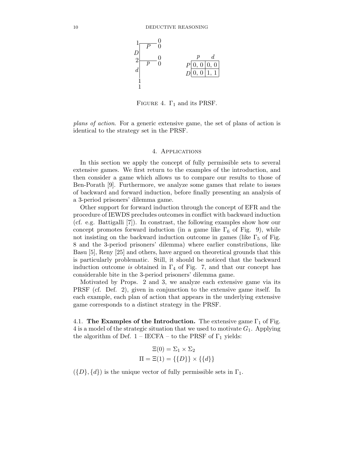

FIGURE 4.  $\Gamma_1$  and its PRSF.

*plans of action*. For a generic extensive game, the set of plans of action is identical to the strategy set in the PRSF.

#### 4. Applications

In this section we apply the concept of fully permissible sets to several extensive games. We first return to the examples of the introduction, and then consider a game which allows us to compare our results to those of Ben-Porath [9]. Furthermore, we analyze some games that relate to issues of backward and forward induction, before finally presenting an analysis of a 3-period prisoners' dilemma game.

Other support for forward induction through the concept of EFR and the procedure of IEWDS precludes outcomes in conflict with backward induction (cf. e.g. Battigalli [7]). In constrast, the following examples show how our concept promotes forward induction (in a game like  $\Gamma_6$  of Fig. 9), while not insisting on the backward induction outcome in games (like  $\Gamma_5$  of Fig. 8 and the 3-period prisoners' dilemma) where earlier constributions, like Basu [5], Reny [25] and others, have argued on theoretical grounds that this is particularly problematic. Still, it should be noticed that the backward induction outcome *is* obtained in  $\Gamma_4$  of Fig. 7, and that our concept has considerable bite in the 3-period prisoners' dilemma game.

Motivated by Props. 2 and 3, we analyze each extensive game via its PRSF (cf. Def. 2), given in conjunction to the extensive game itself. In each example, each plan of action that appears in the underlying extensive game corresponds to a distinct strategy in the PRSF.

4.1. **The Examples of the Introduction.** The extensive game  $\Gamma_1$  of Fig. 4 is a model of the strategic situation that we used to motivate  $G_1$ . Applying the algorithm of Def.  $1 - \text{IECFA} - \text{to the PRSF of } \Gamma_1$  yields:

$$
\Xi(0) = \Sigma_1 \times \Sigma_2
$$

$$
\Pi = \Xi(1) = \{\{D\}\} \times \{\{d\}\}\
$$

 $({D}, {d})$  is the unique vector of fully permissible sets in  $\Gamma_1$ .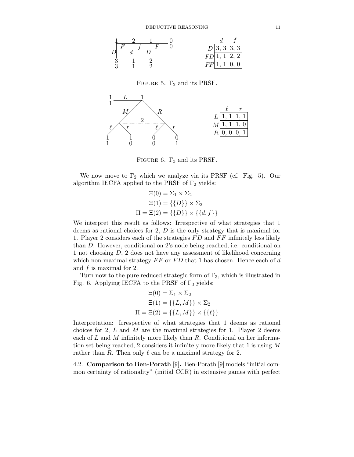

FIGURE 5.  $\Gamma_2$  and its PRSF.



FIGURE 6.  $\Gamma_3$  and its PRSF.

We now move to  $\Gamma_2$  which we analyze via its PRSF (cf. Fig. 5). Our algorithm IECFA applied to the PRSF of  $\Gamma_2$  yields:

$$
\Xi(0) = \Sigma_1 \times \Sigma_2
$$

$$
\Xi(1) = \{\{D\}\} \times \Sigma_2
$$

$$
\Pi = \Xi(2) = \{\{D\}\} \times \{\{d, f\}\}
$$

We interpret this result as follows: Irrespective of what strategies that 1 deems as rational choices for 2, D is the only strategy that is maximal for 1. Player 2 considers each of the strategies  $FD$  and  $FF$  infinitely less likely than D. However, conditional on 2's node being reached, i.e. conditional on 1 not choosing D, 2 does not have any assessment of likelihood concerning which non-maximal strategy  $FF$  or  $FD$  that 1 has chosen. Hence each of d and  $f$  is maximal for 2.

Turn now to the pure reduced strategic form of  $\Gamma_3$ , which is illustrated in Fig. 6. Applying IECFA to the PRSF of  $\Gamma_3$  yields:

$$
\Xi(0) = \Sigma_1 \times \Sigma_2
$$

$$
\Xi(1) = \{\{L, M\}\} \times \Sigma_2
$$

$$
\Pi = \Xi(2) = \{\{L, M\}\} \times \{\{\ell\}\}
$$

Interpretation: Irrespective of what strategies that 1 deems as rational choices for 2,  $L$  and  $M$  are the maximal strategies for 1. Player 2 deems each of  $L$  and  $M$  infinitely more likely than  $R$ . Conditional on her information set being reached, 2 considers it infinitely more likely that 1 is using M rather than R. Then only  $\ell$  can be a maximal strategy for 2.

4.2. **Comparison to Ben-Porath** [9]**.** Ben-Porath [9] models "initial common certainty of rationality" (initial CCR) in extensive games with perfect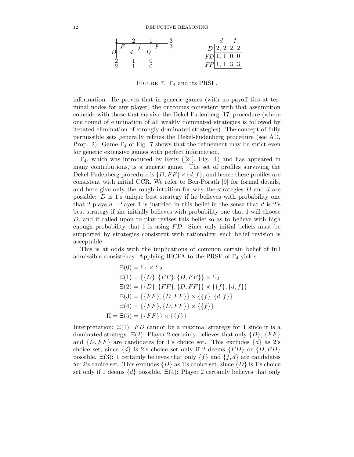

FIGURE 7.  $\Gamma_4$  and its PRSF.

information. He proves that in generic games (with no payoff ties at terminal nodes for any player) the outcomes consistent with that assumption coincide with those that survive the Dekel-Fudenberg [17] procedure (where one round of elimination of all weakly dominated strategies is followed by iterated elimination of strongly dominated strategies). The concept of fully permissible sets generally refines the Dekel-Fudenberg procedure (see AD, Prop. 2). Game  $\Gamma_4$  of Fig. 7 shows that the refinement may be strict even for generic extensive games with perfect information.

 $\Gamma_4$ , which was introduced by Reny ([24], Fig. 1) and has appeared in many contributions, is a generic game. The set of profiles surviving the Dekel-Fudenberg procedure is  $\{D, FF\} \times \{d, f\}$ , and hence these profiles are consistent with initial CCR. We refer to Ben-Porath [9] for formal details, and here give only the rough intuition for why the strategies  $D$  and  $d$  are possible: D is 1's unique best strategy if he believes with probability one that 2 plays d. Player 1 is justified in this belief in the sense that  $d$  is 2's best strategy if she initially believes with probability one that 1 will choose D, and if called upon to play revises this belief so as to believe with high enough probability that 1 is using  $FD$ . Since only initial beliefs must be supported by strategies consistent with rationality, such belief revision is acceptable.

This is at odds with the implications of common certain belief of full admissible consistency. Applying IECFA to the PRSF of  $\Gamma_4$  yields:

$$
\Xi(0) = \Sigma_1 \times \Sigma_2
$$
  
\n
$$
\Xi(1) = \{\{D\}, \{FF\}, \{D, FF\} \times \Sigma_2
$$
  
\n
$$
\Xi(2) = \{\{D\}, \{FF\}, \{D, FF\} \times \{\{f\}, \{d, f\}\}
$$
  
\n
$$
\Xi(3) = \{\{FF\}, \{D, FF\} \times \{\{f\}, \{d, f\}\}
$$
  
\n
$$
\Xi(4) = \{\{FF\}, \{D, FF\} \times \{\{f\}\}
$$
  
\n
$$
\Pi = \Xi(5) = \{\{FF\}\} \times \{\{f\}\}
$$

Interpretation:  $\Xi(1)$ : FD cannot be a maximal strategy for 1 since it is a dominated strategy.  $\Xi(2)$ : Player 2 certainly believes that only  $\{D\}, \{FF\}$ and  $\{D, FF\}$  are candidates for 1's choice set. This excludes  $\{d\}$  as 2's choice set, since  $\{d\}$  is 2's choice set only if 2 deems  $\{FD\}$  or  $\{D, FD\}$ possible.  $\Xi(3)$ : 1 certainly believes that only  $\{f\}$  and  $\{f, d\}$  are candidates for 2's choice set. This excludes  $\{D\}$  as 1's choice set, since  $\{D\}$  is 1's choice set only if 1 deems  $\{d\}$  possible.  $\Xi(4)$ : Player 2 certainly believes that only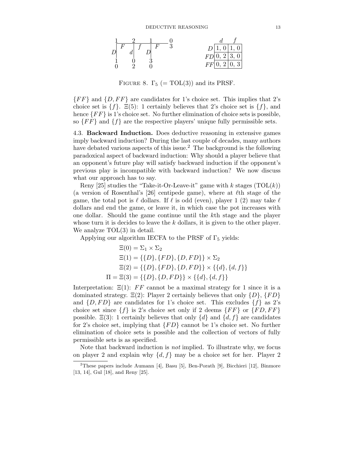

FIGURE 8.  $\Gamma_5$  (= TOL(3)) and its PRSF.

 ${F F}$  and  ${D, F F}$  are candidates for 1's choice set. This implies that 2's choice set is  $\{f\}$ .  $\Xi(5)$ : 1 certainly believes that 2's choice set is  $\{f\}$ , and hence  ${F F}$  is 1's choice set. No further elimination of choice sets is possible, so  $\{FF\}$  and  $\{f\}$  are the respective players' unique fully permissible sets.

4.3. **Backward Induction.** Does deductive reasoning in extensive games imply backward induction? During the last couple of decades, many authors have debated various aspects of this issue.<sup>2</sup> The background is the following paradoxical aspect of backward induction: Why should a player believe that an opponent's future play will satisfy backward induction if the opponent's previous play is incompatible with backward induction? We now discuss what our approach has to say.

Reny [25] studies the "Take-it-Or-Leave-it" game with  $k$  stages  $(TOL(k))$ (a version of Rosenthal's [26] centipede game), where at  $\ell$ th stage of the game, the total pot is  $\ell$  dollars. If  $\ell$  is odd (even), player 1 (2) may take  $\ell$ dollars and end the game, or leave it, in which case the pot increases with one dollar. Should the game continue until the kth stage and the player whose turn it is decides to leave the  $k$  dollars, it is given to the other player. We analyze  $TOL(3)$  in detail.

Applying our algorithm IECFA to the PRSF of  $\Gamma_5$  yields:

$$
\Xi(0) = \Sigma_1 \times \Sigma_2
$$
  
\n
$$
\Xi(1) = \{\{D\}, \{FD\}, \{D, FD\}\} \times \Sigma_2
$$
  
\n
$$
\Xi(2) = \{\{D\}, \{FD\}, \{D, FD\}\} \times \{\{d\}, \{d, f\}\}
$$
  
\n
$$
\Pi = \Xi(3) = \{\{D\}, \{D, FD\}\} \times \{\{d\}, \{d, f\}\}
$$

Interpretation:  $\Xi(1)$ : FF cannot be a maximal strategy for 1 since it is a dominated strategy.  $\Xi(2)$ : Player 2 certainly believes that only  $\{D\}, \{FD\}$ and  $\{D, FD\}$  are candidates for 1's choice set. This excludes  $\{f\}$  as 2's choice set since  $\{f\}$  is 2's choice set only if 2 deems  $\{FF\}$  or  $\{FD, FF\}$ possible.  $\Xi(3)$ : 1 certainly believes that only  $\{d\}$  and  $\{d, f\}$  are candidates for 2's choice set, implying that  $\{FD\}$  cannot be 1's choice set. No further elimination of choice sets is possible and the collection of vectors of fully permissible sets is as specified.

Note that backward induction is *not* implied. To illustrate why, we focus on player 2 and explain why  $\{d, f\}$  may be a choice set for her. Player 2

<sup>2</sup>These papers include Aumann [4], Basu [5], Ben-Porath [9], Bicchieri [12], Binmore [13, 14], Gul [18], and Reny [25].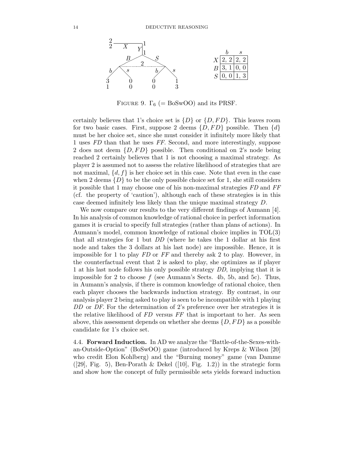

FIGURE 9.  $\Gamma_6$  (= BoSwOO) and its PRSF.

certainly believes that 1's choice set is  $\{D\}$  or  $\{D, FD\}$ . This leaves room for two basic cases. First, suppose 2 deems  $\{D, FD\}$  possible. Then  $\{d\}$ must be her choice set, since she must consider it infinitely more likely that 1 uses *FD* than that he uses *FF*. Second, and more interestingly, suppose 2 does not deem  $\{D, FD\}$  possible. Then conditional on 2's node being reached 2 certainly believes that 1 is not choosing a maximal strategy. As player 2 is assumed not to assess the relative likelihood of strategies that are not maximal,  $\{d, f\}$  is her choice set in this case. Note that even in the case when 2 deems  $\{D\}$  to be the only possible choice set for 1, she still considers it possible that 1 may choose one of his non-maximal strategies *FD* and *FF* (cf. the property of 'caution'), although each of these strategies is in this case deemed infinitely less likely than the unique maximal strategy D.

We now compare our results to the very different findings of Aumann [4]. In his analysis of common knowledge of rational choice in perfect information games it is crucial to specify full strategies (rather than plans of actions). In Aumann's model, common knowledge of rational choice implies in TOL(3) that all strategies for 1 but *DD* (where he takes the 1 dollar at his first node and takes the 3 dollars at his last node) are impossible. Hence, it is impossible for 1 to play *FD* or *FF* and thereby ask 2 to play. However, in the counterfactual event that 2 is asked to play, she optimizes as if player 1 at his last node follows his only possible strategy *DD*, implying that it is impossible for 2 to choose  $f$  (see Aumann's Sects. 4b, 5b, and 5c). Thus, in Aumann's analysis, if there is common knowledge of rational choice, then each player chooses the backwards induction strategy. By contrast, in our analysis player 2 being asked to play is seen to be incompatible with 1 playing *DD* or *DF*. For the determination of 2's preference over her strategies it is the relative likelihood of *FD* versus *FF* that is important to her. As seen above, this assessment depends on whether she deems  $\{D, FD\}$  as a possible candidate for 1's choice set.

4.4. **Forward Induction.** In AD we analyze the "Battle-of-the-Sexes-withan-Outside-Option" (BoSwOO) game (introduced by Kreps & Wilson [20] who credit Elon Kohlberg) and the "Burning money" game (van Damme ([29], Fig. 5), Ben-Porath & Dekel ([10], Fig. 1.2)) in the strategic form and show how the concept of fully permissible sets yields forward induction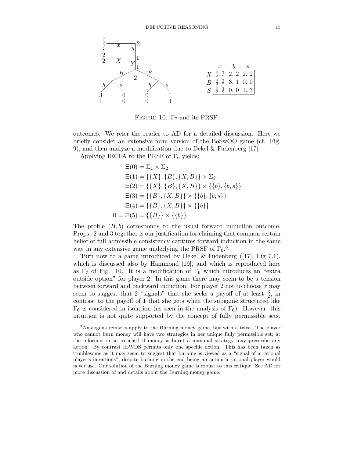

FIGURE 10.  $\Gamma$ <sub>7</sub> and its PRSF.

outcomes. We refer the reader to AD for a detailed discussion. Here we briefly consider an extensive form version of the BoSwOO game (cf. Fig. 9), and then analyze a modification due to Dekel & Fudenberg [17].

Applying IECFA to the PRSF of  $\Gamma_6$  yields:

$$
\Xi(0) = \Sigma_1 \times \Sigma_2
$$
  
\n
$$
\Xi(1) = \{\{X\}, \{B\}, \{X, B\}\} \times \Sigma_2
$$
  
\n
$$
\Xi(2) = \{\{X\}, \{B\}, \{X, B\}\} \times \{\{b\}, \{b, s\}\}
$$
  
\n
$$
\Xi(3) = \{\{B\}, \{X, B\}\} \times \{\{b\}, \{b, s\}\}
$$
  
\n
$$
\Xi(4) = \{\{B\}, \{X, B\}\} \times \{\{b\}\}
$$
  
\n
$$
\Pi = \Xi(5) = \{\{B\}\} \times \{\{b\}\}
$$

The profile  $(B, b)$  corresponds to the usual forward induction outcome. Props. 2 and 3 together is our justification for claiming that common certain belief of full admissible consistency captures forward induction in the same way in any extensive game underlying the PRSF of  $\Gamma_6$ .<sup>3</sup>

Turn now to a game introduced by Dekel & Fudenberg ([17], Fig 7.1), which is discussed also by Hammond [19], and which is reproduced here as  $\Gamma_7$  of Fig. 10. It is a modification of  $\Gamma_6$  which introduces an "extra outside option" for player 2. In this game there may seem to be a tension between forward and backward induction: For player 2 not to choose  $x$  may seem to suggest that 2 "signals" that she seeks a payoff of at least  $\frac{3}{2}$ , in contrast to the payoff of 1 that she gets when the subgame structured like  $\Gamma_6$  is considered in isolation (as seen in the analysis of  $\Gamma_6$ ). However, this intuition is not quite supported by the concept of fully permissible sets.

<sup>3</sup>Analogous remarks apply to the Burning money game, but with a twist. The player who cannot burn money will have two strategies in her unique fully permissible set; at the information set reached if money is burnt a maximal strategy may prescribe any action. By contrast IEWDS permits only one specific action. This has been taken as troublesome as it may seem to suggest that burning is viewed as a "signal of a rational player's intentions", despite burning in the end being an action a rational player would never use. Our solution of the Burning money game is robust to this critique. See AD for more discussion of and details about the Burning money game.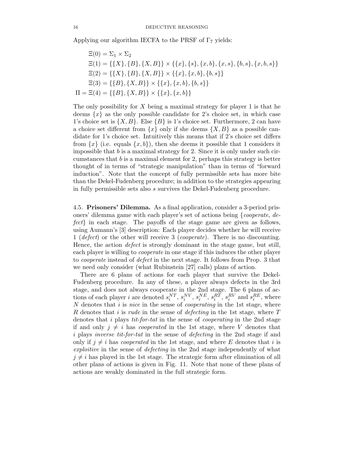Applying our algorithm IECFA to the PRSF of  $\Gamma_7$  yields:

$$
\Xi(0) = \Sigma_1 \times \Sigma_2
$$
  
\n
$$
\Xi(1) = \{\{X\}, \{B\}, \{X, B\}\} \times \{\{x\}, \{s\}, \{x, b\}, \{x, s\}, \{b, s\}, \{x, b, s\}\}
$$
  
\n
$$
\Xi(2) = \{\{X\}, \{B\}, \{X, B\}\} \times \{\{x\}, \{x, b\}, \{b, s\}\}
$$
  
\n
$$
\Xi(3) = \{\{B\}, \{X, B\}\} \times \{\{x\}, \{x, b\}, \{b, s\}\}
$$
  
\n
$$
\Pi = \Xi(4) = \{\{B\}, \{X, B\}\} \times \{\{x\}, \{x, b\}\}
$$

The only possibility for  $X$  being a maximal strategy for player 1 is that he deems  $\{x\}$  as the only possible candidate for 2's choice set, in which case 1's choice set is  $\{X, B\}$ . Else  $\{B\}$  is 1's choice set. Furthermore, 2 can have a choice set different from  $\{x\}$  only if she deems  $\{X, B\}$  as a possible candidate for 1's choice set. Intuitively this means that if 2's choice set differs from  $\{x\}$  (i.e. equals  $\{x, b\}$ ), then she deems it possible that 1 considers it impossible that  $b$  is a maximal strategy for 2. Since it is only under such circumstances that  $b$  is a maximal element for 2, perhaps this strategy is better thought of in terms of "strategic manipulation" than in terms of "forward induction". Note that the concept of fully permissible sets has more bite than the Dekel-Fudenberg procedure; in addition to the strategies appearing in fully permissible sets also s survives the Dekel-Fudenberg procedure.

4.5. **Prisoners' Dilemma.** As a final application, consider a 3-period prisoners' dilemma game with each player's set of actions being {*cooperate*, *defect*} in each stage. The payoffs of the stage game are given as follows, using Aumann's [3] description: Each player decides whether he will receive 1 (*defect*) or the other will receive 3 (*cooperate*). There is no discounting. Hence, the action *defect* is strongly dominant in the stage game, but still, each player is willing to *cooperate* in one stage if this induces the other player to *cooperate* instead of *defect* in the next stage. It follows from Prop. 3 that we need only consider (what Rubinstein [27] calls) plans of action.

There are 6 plans of actions for each player that survive the Dekel-Fudenberg procedure. In any of these, a player always defects in the 3rd stage, and does not always cooperate in the 2nd stage. The 6 plans of actions of each player *i* are denoted  $s_i^{NT}$ ,  $s_i^{NV}$ ,  $s_i^{RL}$ ,  $s_i^{RT}$ ,  $s_i^{RT}$ ,  $s_i^{RV}$  and  $s_i^{RE}$ , where N denotes that *i* is *nice* in the sense of *cooperating* in the 1st stage, where N denotes that i is *nice* in the sense of *cooperating* in the 1st stage, where R denotes that i is *rude* in the sense of *defecting* in the 1st stage, where T denotes that i plays *tit-for-tat* in the sense of *cooperating* in the 2nd stage if and only  $j \neq i$  has *cooperated* in the 1st stage, where V denotes that i plays *inverse tit-for-tat* in the sense of *defecting* in the 2nd stage if and only if  $j \neq i$  has *cooperated* in the 1st stage, and where E denotes that i is *exploitive* in the sense of *defecting* in the 2nd stage independently of what  $j \neq i$  has played in the 1st stage. The strategic form after elimination of all other plans of actions is given in Fig. 11. Note that none of these plans of actions are weakly dominated in the full strategic form.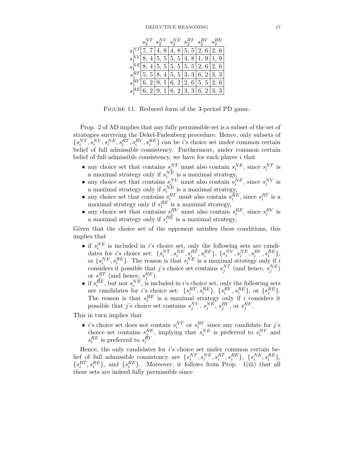|  | $s^{NT}_2 \ s^{NV}_2 \ s^{NE}_2 \ s^{RT}_2 \ s^{RV}_2 \ s^{RE}_2$ |  |                                                       |
|--|-------------------------------------------------------------------|--|-------------------------------------------------------|
|  |                                                                   |  | $s_1^{NT}$ 7, 7 4, 8 4, 8 5, 5 $\overline{2, 6}$ 2, 6 |
|  |                                                                   |  | $s_1^{NV}$ 8, 4 5, 5 5, 5 4, 8 1, 9 1, 9              |
|  |                                                                   |  | $s_1^{NE}$ 8, 4 5, 5 5, 5 5, 5 2, 6 2, 6              |
|  |                                                                   |  | $s_1^{RT}$ [5, 5] 8, 4] 5, 5] 3, 3] 6, 2] 3, 3]       |
|  |                                                                   |  | $s_1^{RV}$ 6, 2 9, 1 6, 2 2, 6 5, 5 2, 6              |
|  |                                                                   |  | $s_1^{RE}$ 6, 2 9, 1 6, 2 3, 3 6, 2 3, 3              |

Figure 11. Reduced form of the 3-period PD game.

Prop. 2 of AD implies that any fully permissible set is a subset of the set of strategies surviving the Dekel-Fudenberg procedure. Hence, only subsets of  $\{s_i^{NT}, s_i^{NV}, s_i^{NE}, s_i^{RU}, s_i^{RV}, s_i^{RE}\}\$  can be *i*'s choice set under common certain belief of full admissible consistency. Furthermore, under common certain belief of full admissible consistency. Furthermore, under common certain belief of full admissible consistency, we have for each player  $i$  that

- 
- any choice set that contains  $s_i^{NT}$  must also contain  $s_i^{NE}$ , since  $s_i^{NT}$  is<br>
a maximal strategy only if  $s_i^{NE}$  is a maximal strategy,<br>
 any choice set that contains  $s_i^{NV}$  must also contain  $s_i^{NE}$ , since  $s_i^{NV}$
- 
- 

Given that the choice set of the opponent satisfies these conditions, this implies that

- if  $s_i^{NE}$  is included in *i*'s choice set, only the following sets are candi-<br>dates for *i*'s choice set:  $\{s_i^{NT}, s_i^{NE}, s_i^{RT}, s_i^{RE}\}, \{s_i^{NV}, s_i^{NE}, s_i^{RV}, s_i^{RE}\},$ <br>or  $\{s_i^{NE} \in R_{\text{KL}}$  The reason is that  $s_i^{NE}$  is a maximal s or  $\{s_i^{NE}, s_i^{RE}\}\$ . The reason is that  $s_i^{NE}$  is a maximal strategy only if i<br>considers it possible that j's choice set contains  $s_j^{NT}$  (and hence,  $s_j^{NE}$ )
- considers it possible that *j*'s choice set contains  $s_j^{NT}$  (and hence,  $s_j^{NE}$ )<br>or  $s_j^{RT}$  (and hence,  $s_i^{RE}$ ).<br>• if  $s_i^{RE}$ , but not  $s_i^{NE}$ , is included in *i*'s choice set, only the following sets<br>are candidates for

This in turn implies that

• *i*'s choice set does not contain  $s_i^{NV}$  or  $s_i^{RV}$  since any candidate for *j*'s choice set contains  $s_i^{RE}$ , implying that  $s_i^{NE}$  is preferred to  $s_i^{NV}$  and  $s_i^{RE}$  is preferred to  $s_i^{RV}$ .

Hence, the only candidates for i's choice set under common certain belief of full admissible consistency are  $\{s_i^{NT}, s_i^{NE}, s_i^{RT}, s_i^{RE}\}, \{s_i^{NE}, s_i^{RE}\}, \{s_i^{RE}, s_i^{RE}\}, \{s_i^{RE}, s_i^{RE}\}, \{s_i^{RE}, s_i^{RE}\}, \{s_i^{RE}, s_i^{RE}\}, \{s_i^{RE}, s_i^{RE}\}, \{s_i^{RE}, s_i^{RE}\}, \{s_i^{RE}, s_i^{RE}\}, \{s_i^{RE}, s_i^{RE}\}, \{s_i^{RE}, s_i^{RE}\}, \{s_i^{RE}, s_i^{RE}\}, \{s_i^{RE}, s_i^{RE}\}, \$  $\{s_i^{RL}, s_i^{RE}\}\$ , and  $\{s_i^{RE}\}\$ . Moreover, it follows from Prop. 1(iii) that all these sets are indeed fully permissible since these sets are indeed fully permissible since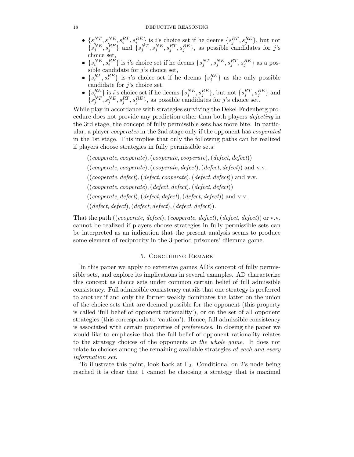#### 18 DEDUCTIVE REASONING

- $\{s_i^{NT}, s_i^{NE}, s_i^{RT}, s_i^{RE}\}$  is *i*'s choice set if he deems  $\{s_j^{RT}, s_j^{RE}\}$ , but not  $\{s_j^{NE}, s_j^{RE}\}$  and  $\{s_j^{NT}, s_j^{NE}, s_j^{RT}, s_j^{RE}\}$ , as possible candidates for *j*'s choice set choice set,
- $\{s_i^{NE}, s_i^{RE}\}\$ is *i*'s choice set if he deems  $\{s_j^{NT}, s_j^{NE}, s_j^{RF}, s_j^{RE}\}\$  as a pos-<br>sible candidate for *i*'s choice set sible candidate for  $j$ 's choice set,
- $\{s_i^{RL}, s_i^{RE}\}\$  is *i*'s choice set if he deems  $\{s_j^{RE}\}\$  as the only possible candidate for *i*'s choice set candidate for  $j$ 's choice set,
- $\{s_i^{RE}\}\$  is *i*'s choice set if he deems  $\{s_j^{NE}, s_j^{RE}\}\$ , but not  $\{s_j^{RT}, s_j^{RE}\}\$  and  $\{s_j^{NT}, s_j^{NE}, s_j^{RT}, s_j^{RE}\}\$ , as possible candidates for *j*'s choice set.

While play in accordance with strategies surviving the Dekel-Fudenberg procedure does not provide any prediction other than both players *defecting* in the 3rd stage, the concept of fully permissible sets has more bite. In particular, a player *cooperates* in the 2nd stage only if the opponent has *cooperated* in the 1st stage. This implies that only the following paths can be realized if players choose strategies in fully permissible sets:

((*cooperate*, *cooperate*),(*cooperate*, *cooperate*),(*defect*, *defect*)) ((*cooperate*, *cooperate*),(*cooperate*, *defect*),(*defect*, *defect*)) and v.v. ((*cooperate*, *defect*),(*defect*, *cooperate*),(*defect*, *defect*)) and v.v. ((*cooperate*, *cooperate*),(*defect*, *defect*),(*defect*, *defect*)) ((*cooperate*, *defect*),(*defect*, *defect*),(*defect*, *defect*)) and v.v. ((*defect*, *defect*),(*defect*, *defect*),(*defect*, *defect*)).

That the path ((*cooperate*, *defect*), (*cooperate*, *defect*), (*defect*, *defect*)) or v.v. cannot be realized if players choose strategies in fully permissible sets can be interpreted as an indication that the present analysis seems to produce some element of reciprocity in the 3-period prisoners' dilemma game.

# 5. Concluding Remark

In this paper we apply to extensive games AD's concept of fully permissible sets, and explore its implications in several examples. AD characterize this concept as choice sets under common certain belief of full admissible consistency. Full admissible consistency entails that one strategy is preferred to another if and only the former weakly dominates the latter on the union of the choice sets that are deemed possible for the opponent (this property is called 'full belief of opponent rationality'), or on the set of all opponent strategies (this corresponds to 'caution'). Hence, full admissible consistency is associated with certain properties of *preferences*. In closing the paper we would like to emphasize that the full belief of opponent rationality relates to the strategy choices of the opponents *in the whole game*. It does not relate to choices among the remaining available strategies *at each and every information set*.

To illustrate this point, look back at  $\Gamma_2$ . Conditional on 2's node being reached it is clear that 1 cannot be choosing a strategy that is maximal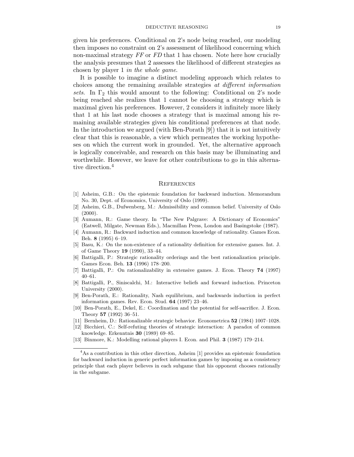given his preferences. Conditional on 2's node being reached, our modeling then imposes no constraint on 2's assessment of likelihood concerning which non-maximal strategy *FF* or *FD* that 1 has chosen. Note here how crucially the analysis presumes that 2 assesses the likelihood of different strategies as chosen by player 1 *in the whole game*.

It is possible to imagine a distinct modeling approach which relates to choices among the remaining available strategies *at different information sets*. In  $\Gamma_2$  this would amount to the following: Conditional on 2's node being reached she realizes that 1 cannot be choosing a strategy which is maximal given his preferences. However, 2 considers it infinitely more likely that 1 at his last node chooses a strategy that is maximal among his remaining available strategies given his conditional preferences at that node. In the introduction we argued (with Ben-Porath [9]) that it is not intuitively clear that this is reasonable, a view which permeates the working hypotheses on which the current work in grounded. Yet, the alternative approach is logically conceivable, and research on this basis may be illuminating and worthwhile. However, we leave for other contributions to go in this alternative direction.<sup>4</sup>

#### **REFERENCES**

- [1] Asheim, G.B.: On the epistemic foundation for backward induction. Memorandum No. 30, Dept. of Economics, University of Oslo (1999).
- [2] Asheim, G.B., Dufwenberg, M.: Admissibility and common belief. University of Oslo  $(2000)$ .
- [3] Aumann, R.: Game theory. In "The New Palgrave: A Dictionary of Economics" (Eatwell, Milgate, Newman Eds.), Macmillan Press, London and Basingstoke (1987).
- [4] Aumann, R.: Backward induction and common knowledge of rationality. Games Econ. Beh. **8** (1995) 6–19.
- [5] Basu, K.: On the non-existence of a rationality definition for extensive games. Int. J. of Game Theory **19** (1990), 33–44.
- [6] Battigalli, P.: Strategic rationality orderings and the best rationalization principle. Games Econ. Beh. **13** (1996) 178–200.
- [7] Battigalli, P.: On rationalizability in extensive games. J. Econ. Theory **74** (1997) 40–61.
- [8] Battigalli, P., Siniscalchi, M.: Interactive beliefs and forward induction. Princeton University (2000).
- [9] Ben-Porath, E.: Rationality, Nash equilibrium, and backwards induction in perfect information games. Rev. Econ. Stud. **64** (1997) 23–46.
- [10] Ben-Porath, E., Dekel, E.: Coordination and the potential for self-sacrifice. J. Econ. Theory **57** (1992) 36–51.
- [11] Bernheim, D.: Rationalizable strategic behavior. Econometrica **52** (1984) 1007–1028.
- [12] Bicchieri, C.: Self-refuting theories of strategic interaction: A paradox of common knowledge. Erkenntnis **30** (1989) 69–85.
- [13] Binmore, K.: Modelling rational players I. Econ. and Phil. **3** (1987) 179–214.

<sup>4</sup>As a contribution in this other direction, Asheim [1] provides an epistemic foundation for backward induction in generic perfect information games by imposing as a consistency principle that each player believes in each subgame that his opponent chooses rationally in the subgame.